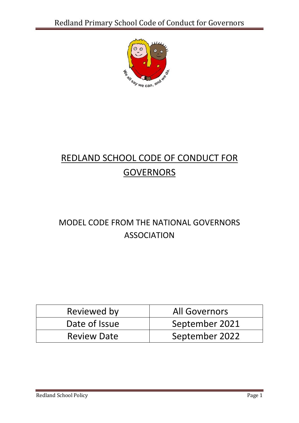

# REDLAND SCHOOL CODE OF CONDUCT FOR **GOVERNORS**

### MODEL CODE FROM THE NATIONAL GOVERNORS ASSOCIATION

| Reviewed by        | <b>All Governors</b> |
|--------------------|----------------------|
| Date of Issue      | September 2021       |
| <b>Review Date</b> | September 2022       |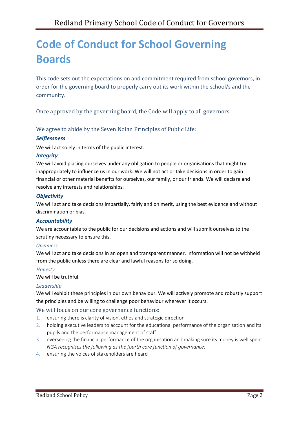# **Code of Conduct for School Governing Boards**

This code sets out the expectations on and commitment required from school governors, in order for the governing board to properly carry out its work within the school/s and the community.

Once approved by the governing board, the Code will apply to all governors.

We agree to abide by the Seven Nolan Principles of Public Life:

#### *Selflessness*

We will act solely in terms of the public interest.

#### *Integrity*

We will avoid placing ourselves under any obligation to people or organisations that might try inappropriately to influence us in our work. We will not act or take decisions in order to gain financial or other material benefits for ourselves, our family, or our friends. We will declare and resolve any interests and relationships.

#### *Objectivity*

We will act and take decisions impartially, fairly and on merit, using the best evidence and without discrimination or bias.

#### *Accountability*

We are accountable to the public for our decisions and actions and will submit ourselves to the scrutiny necessary to ensure this.

#### *Openness*

We will act and take decisions in an open and transparent manner. Information will not be withheld from the public unless there are clear and lawful reasons for so doing.

#### *Honesty*

We will be truthful.

#### *Leadership*

We will exhibit these principles in our own behaviour. We will actively promote and robustly support the principles and be willing to challenge poor behaviour wherever it occurs.

#### We will focus on our core governance functions:

- 1. ensuring there is clarity of vision, ethos and strategic direction
- 2. holding executive leaders to account for the educational performance of the organisation and its pupils and the performance management of staff
- 3. overseeing the financial performance of the organisation and making sure its money is well spent *NGA recognises the following as the fourth core function of governance:*
- 4. ensuring the voices of stakeholders are heard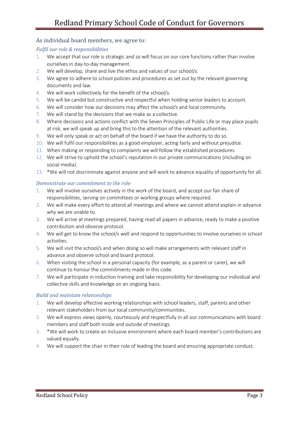#### As individual board members, we agree to:

#### *Fulfil our role & responsibilities*

- 1. We accept that our role is strategic and so will focus on our core functions rather than involve ourselves in day-to-day management.
- *2.* We will develop, share and live the ethos and values of our school/s.
- 3. We agree to adhere to school policies and procedures as set out by the relevant governing documents and law.
- 4. We will work collectively for the benefit of the school/s.
- 5. We will be candid but constructive and respectful when holding senior leaders to account.
- 6. We will consider how our decisions may affect the school/s and local community.
- 7. We will stand by the decisions that we make as a collective.
- 8. Where decisions and actions conflict with the Seven Principles of Public Life or may place pupils at risk, we will speak up and bring this to the attention of the relevant authorities.
- 9. We will only speak or act on behalf of the board if we have the authority to do so.
- 10. We will fulfil our responsibilities as a good employer, acting fairly and without prejudice.
- 11. When making or responding to complaints we will follow the established procedures.
- 12. We will strive to uphold the school's reputation in our private communications (including on social media).
- 13. \*We will not discriminate against anyone and will work to advance equality of opportunity for all.

#### *Demonstrate our commitment to the role*

- 1. We will involve ourselves actively in the work of the board, and accept our fair share of responsibilities, serving on committees or working groups where required.
- 2. We will make every effort to attend all meetings and where we cannot attend explain in advance why we are unable to.
- 3. We will arrive at meetings prepared, having read all papers in advance, ready to make a positive contribution and observe protocol.
- 4. We will get to know the school/s well and respond to opportunities to involve ourselves in school activities.
- 5. We will visit the school/s and when doing so will make arrangements with relevant staff in advance and observe school and board protocol.
- 6. When visiting the school in a personal capacity (for example, as a parent or carer), we will continue to honour the commitments made in this code.
- 7. We will participate in induction training and take responsibility for developing our individual and collective skills and knowledge on an ongoing basis.

#### *Build and maintain relationships*

- 1. We will develop effective working relationships with school leaders, staff, parents and other relevant stakeholders from our local community/communities.
- 2. We will express views openly, courteously and respectfully in all our communications with board members and staff both inside and outside of meetings.
- 3. \*We will work to create an inclusive environment where each board member's contributions are valued equally.
- 4. We will support the chair in their role of leading the board and ensuring appropriate conduct.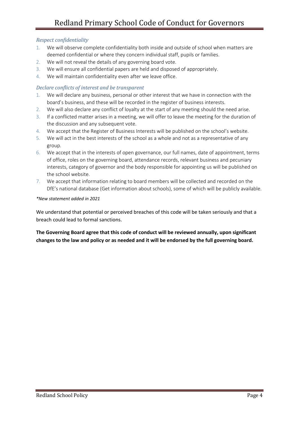#### *Respect confidentiality*

- 1. We will observe complete confidentiality both inside and outside of school when matters are deemed confidential or where they concern individual staff, pupils or families.
- 2. We will not reveal the details of any governing board vote.
- 3. We will ensure all confidential papers are held and disposed of appropriately.
- 4. We will maintain confidentiality even after we leave office.

#### *Declare conflicts of interest and be transparent*

- 1. We will declare any business, personal or other interest that we have in connection with the board's business, and these will be recorded in the register of business interests.
- 2. We will also declare any conflict of loyalty at the start of any meeting should the need arise.
- 3. If a conflicted matter arises in a meeting, we will offer to leave the meeting for the duration of the discussion and any subsequent vote.
- 4. We accept that the Register of Business Interests will be published on the school's website.
- 5. We will act in the best interests of the school as a whole and not as a representative of any group.
- 6. We accept that in the interests of open governance, our full names, date of appointment, terms of office, roles on the governing board, attendance records, relevant business and pecuniary interests, category of governor and the body responsible for appointing us will be published on the school website.
- 7. We accept that information relating to board members will be collected and recorded on the DfE's national database (Get information about schools), some of which will be publicly available.

#### *\*New statement added in 2021*

We understand that potential or perceived breaches of this code will be taken seriously and that a breach could lead to formal sanctions.

**The Governing Board agree that this code of conduct will be reviewed annually, upon significant changes to the law and policy or as needed and it will be endorsed by the full governing board.**